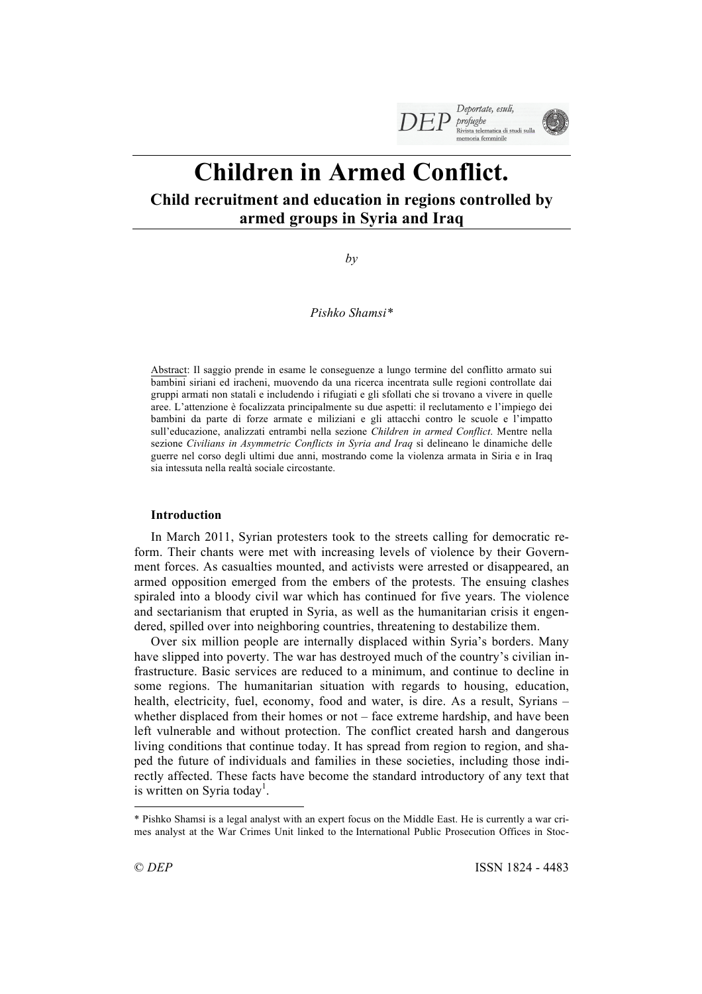

# **Children in Armed Conflict.**

## **Child recruitment and education in regions controlled by armed groups in Syria and Iraq**

*by* 

*Pishko Shamsi\**

Abstract: Il saggio prende in esame le conseguenze a lungo termine del conflitto armato sui bambini siriani ed iracheni, muovendo da una ricerca incentrata sulle regioni controllate dai gruppi armati non statali e includendo i rifugiati e gli sfollati che si trovano a vivere in quelle aree. L'attenzione è focalizzata principalmente su due aspetti: il reclutamento e l'impiego dei bambini da parte di forze armate e miliziani e gli attacchi contro le scuole e l'impatto sull'educazione, analizzati entrambi nella sezione *Children in armed Conflict*. Mentre nella sezione *Civilians in Asymmetric Conflicts in Syria and Iraq* si delineano le dinamiche delle guerre nel corso degli ultimi due anni, mostrando come la violenza armata in Siria e in Iraq sia intessuta nella realtà sociale circostante.

### **Introduction**

In March 2011, Syrian protesters took to the streets calling for democratic reform. Their chants were met with increasing levels of violence by their Government forces. As casualties mounted, and activists were arrested or disappeared, an armed opposition emerged from the embers of the protests. The ensuing clashes spiraled into a bloody civil war which has continued for five years. The violence and sectarianism that erupted in Syria, as well as the humanitarian crisis it engendered, spilled over into neighboring countries, threatening to destabilize them.

Over six million people are internally displaced within Syria's borders. Many have slipped into poverty. The war has destroyed much of the country's civilian infrastructure. Basic services are reduced to a minimum, and continue to decline in some regions. The humanitarian situation with regards to housing, education, health, electricity, fuel, economy, food and water, is dire. As a result, Syrians – whether displaced from their homes or not – face extreme hardship, and have been left vulnerable and without protection. The conflict created harsh and dangerous living conditions that continue today. It has spread from region to region, and shaped the future of individuals and families in these societies, including those indirectly affected. These facts have become the standard introductory of any text that is written on Syria today<sup>1</sup>.

 $\overline{a}$ 

<sup>\*</sup> Pishko Shamsi is a legal analyst with an expert focus on the Middle East. He is currently a war crimes analyst at the War Crimes Unit linked to the International Public Prosecution Offices in Stoc-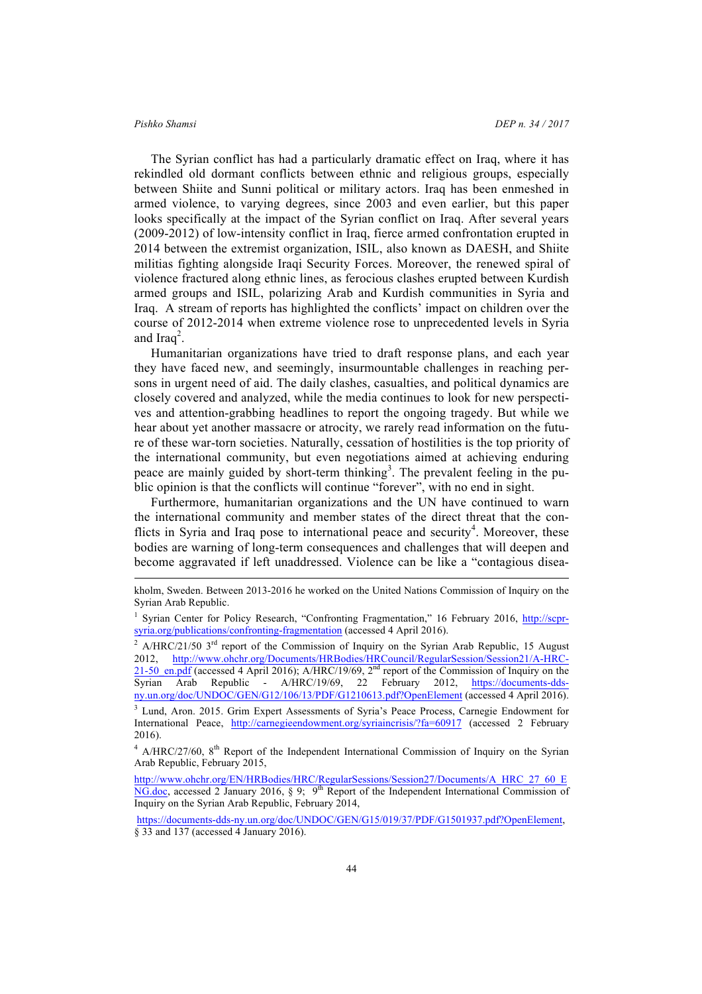l

The Syrian conflict has had a particularly dramatic effect on Iraq, where it has rekindled old dormant conflicts between ethnic and religious groups, especially between Shiite and Sunni political or military actors. Iraq has been enmeshed in armed violence, to varying degrees, since 2003 and even earlier, but this paper looks specifically at the impact of the Syrian conflict on Iraq. After several years (2009-2012) of low-intensity conflict in Iraq, fierce armed confrontation erupted in 2014 between the extremist organization, ISIL, also known as DAESH, and Shiite militias fighting alongside Iraqi Security Forces. Moreover, the renewed spiral of violence fractured along ethnic lines, as ferocious clashes erupted between Kurdish armed groups and ISIL, polarizing Arab and Kurdish communities in Syria and Iraq. A stream of reports has highlighted the conflicts' impact on children over the course of 2012-2014 when extreme violence rose to unprecedented levels in Syria and Iraq<sup>2</sup>.

Humanitarian organizations have tried to draft response plans, and each year they have faced new, and seemingly, insurmountable challenges in reaching persons in urgent need of aid. The daily clashes, casualties, and political dynamics are closely covered and analyzed, while the media continues to look for new perspectives and attention-grabbing headlines to report the ongoing tragedy. But while we hear about yet another massacre or atrocity, we rarely read information on the future of these war-torn societies. Naturally, cessation of hostilities is the top priority of the international community, but even negotiations aimed at achieving enduring peace are mainly guided by short-term thinking<sup>3</sup>. The prevalent feeling in the public opinion is that the conflicts will continue "forever", with no end in sight.

Furthermore, humanitarian organizations and the UN have continued to warn the international community and member states of the direct threat that the conflicts in Syria and Iraq pose to international peace and security<sup>4</sup>. Moreover, these bodies are warning of long-term consequences and challenges that will deepen and become aggravated if left unaddressed. Violence can be like a "contagious disea-

kholm, Sweden. Between 2013-2016 he worked on the United Nations Commission of Inquiry on the Syrian Arab Republic.

<sup>1</sup> Syrian Center for Policy Research, "Confronting Fragmentation," 16 February 2016, http://scprsyria.org/publications/confronting-fragmentation (accessed 4 April 2016).

<sup>&</sup>lt;sup>2</sup> A/HRC/21/50  $3<sup>rd</sup>$  report of the Commission of Inquiry on the Syrian Arab Republic, 15 August 2012, http://www.ohchr.org/Documents/HRBodies/HRCouncil/RegularSession/Session21/A-HRC-21-50\_en.pdf (accessed 4 April 2016); A/HRC/19/69, 2<sup>nd</sup> report of the Commission of Inquiry on the Syrian Arab Republic - A/HRC/19/69, 22 February 2012, https://documents-ddsny.un.org/doc/UNDOC/GEN/G12/106/13/PDF/G1210613.pdf?OpenElement (accessed 4 April 2016).

<sup>3</sup> Lund, Aron. 2015. Grim Expert Assessments of Syria's Peace Process, Carnegie Endowment for International Peace, http://carnegieendowment.org/syriaincrisis/?fa=60917 (accessed 2 February 2016).

 $4$  A/HRC/27/60,  $8<sup>th</sup>$  Report of the Independent International Commission of Inquiry on the Syrian Arab Republic, February 2015,

http://www.ohchr.org/EN/HRBodies/HRC/RegularSessions/Session27/Documents/A\_HRC\_27\_60\_E NG.doc, accessed 2 January 2016, § 9;  $9^{\text{th}}$  Report of the Independent International Commission of Inquiry on the Syrian Arab Republic, February 2014,

https://documents-dds-ny.un.org/doc/UNDOC/GEN/G15/019/37/PDF/G1501937.pdf?OpenElement, § 33 and 137 (accessed 4 January 2016).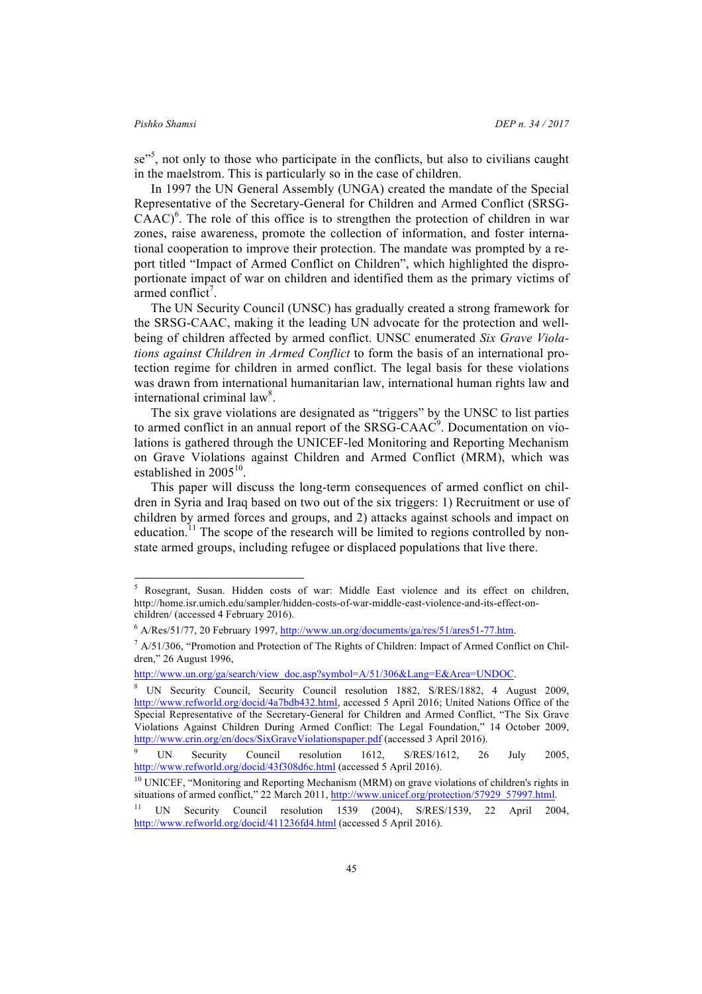se<sup>35</sup>, not only to those who participate in the conflicts, but also to civilians caught in the maelstrom. This is particularly so in the case of children.

In 1997 the UN General Assembly (UNGA) created the mandate of the Special Representative of the Secretary-General for Children and Armed Conflict (SRSG- $C\text{AAC}$ <sup>6</sup>. The role of this office is to strengthen the protection of children in war zones, raise awareness, promote the collection of information, and foster international cooperation to improve their protection. The mandate was prompted by a report titled "Impact of Armed Conflict on Children", which highlighted the disproportionate impact of war on children and identified them as the primary victims of  $\alpha$ rmed conflict<sup>7</sup>.

The UN Security Council (UNSC) has gradually created a strong framework for the SRSG-CAAC, making it the leading UN advocate for the protection and wellbeing of children affected by armed conflict. UNSC enumerated *Six Grave Violations against Children in Armed Conflict* to form the basis of an international protection regime for children in armed conflict. The legal basis for these violations was drawn from international humanitarian law, international human rights law and international criminal law<sup>8</sup>.

The six grave violations are designated as "triggers" by the UNSC to list parties to armed conflict in an annual report of the SRSG-CAAC $\degree$ . Documentation on violations is gathered through the UNICEF-led Monitoring and Reporting Mechanism on Grave Violations against Children and Armed Conflict (MRM), which was established in  $2005^{10}$ .

This paper will discuss the long-term consequences of armed conflict on children in Syria and Iraq based on two out of the six triggers: 1) Recruitment or use of children by armed forces and groups, and 2) attacks against schools and impact on education.<sup>11</sup> The scope of the research will be limited to regions controlled by nonstate armed groups, including refugee or displaced populations that live there.

 <sup>5</sup> Rosegrant, Susan. Hidden costs of war: Middle East violence and its effect on children, http://home.isr.umich.edu/sampler/hidden-costs-of-war-middle-east-violence-and-its-effect-onchildren/ (accessed 4 February 2016).

<sup>6</sup> A/Res/51/77, 20 February 1997, http://www.un.org/documents/ga/res/51/ares51-77.htm.

 $^7$  A/51/306, "Promotion and Protection of The Rights of Children: Impact of Armed Conflict on Children," 26 August 1996,

http://www.un.org/ga/search/view\_doc.asp?symbol=A/51/306&Lang=E&Area=UNDOC.

<sup>8</sup> UN Security Council, Security Council resolution 1882, S/RES/1882, 4 August 2009, http://www.refworld.org/docid/4a7bdb432.html, accessed 5 April 2016; United Nations Office of the Special Representative of the Secretary-General for Children and Armed Conflict, "The Six Grave Violations Against Children During Armed Conflict: The Legal Foundation," 14 October 2009, http://www.crin.org/en/docs/SixGraveViolationspaper.pdf (accessed 3 April 2016).

UN Security Council resolution 1612, S/RES/1612, 26 July 2005, http://www.refworld.org/docid/43f308d6c.html (accessed 5 April 2016).

<sup>&</sup>lt;sup>10</sup> UNICEF, "Monitoring and Reporting Mechanism (MRM) on grave violations of children's rights in situations of armed conflict," 22 March 2011, http://www.unicef.org/protection/57929\_57997.html.

<sup>11</sup> UN Security Council resolution 1539 (2004), S/RES/1539, 22 April 2004, http://www.refworld.org/docid/411236fd4.html (accessed 5 April 2016).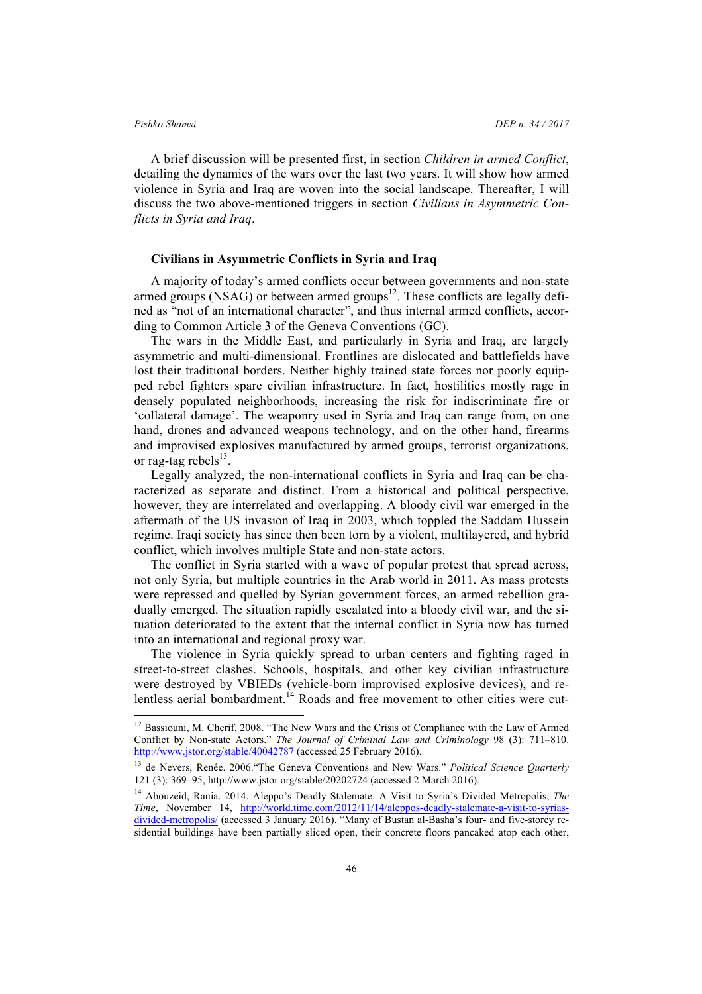A brief discussion will be presented first, in section *Children in armed Conflict*, detailing the dynamics of the wars over the last two years. It will show how armed violence in Syria and Iraq are woven into the social landscape. Thereafter, I will discuss the two above-mentioned triggers in section *Civilians in Asymmetric Conflicts in Syria and Iraq*.

### **Civilians in Asymmetric Conflicts in Syria and Iraq**

A majority of today's armed conflicts occur between governments and non-state armed groups (NSAG) or between armed groups<sup>12</sup>. These conflicts are legally defined as "not of an international character", and thus internal armed conflicts, according to Common Article 3 of the Geneva Conventions (GC).

The wars in the Middle East, and particularly in Syria and Iraq, are largely asymmetric and multi-dimensional. Frontlines are dislocated and battlefields have lost their traditional borders. Neither highly trained state forces nor poorly equipped rebel fighters spare civilian infrastructure. In fact, hostilities mostly rage in densely populated neighborhoods, increasing the risk for indiscriminate fire or 'collateral damage'. The weaponry used in Syria and Iraq can range from, on one hand, drones and advanced weapons technology, and on the other hand, firearms and improvised explosives manufactured by armed groups, terrorist organizations, or rag-tag rebels $^{13}$ .

Legally analyzed, the non-international conflicts in Syria and Iraq can be characterized as separate and distinct. From a historical and political perspective, however, they are interrelated and overlapping. A bloody civil war emerged in the aftermath of the US invasion of Iraq in 2003, which toppled the Saddam Hussein regime. Iraqi society has since then been torn by a violent, multilayered, and hybrid conflict, which involves multiple State and non-state actors.

The conflict in Syria started with a wave of popular protest that spread across, not only Syria, but multiple countries in the Arab world in 2011. As mass protests were repressed and quelled by Syrian government forces, an armed rebellion gradually emerged. The situation rapidly escalated into a bloody civil war, and the situation deteriorated to the extent that the internal conflict in Syria now has turned into an international and regional proxy war.

The violence in Syria quickly spread to urban centers and fighting raged in street-to-street clashes. Schools, hospitals, and other key civilian infrastructure were destroyed by VBIEDs (vehicle-born improvised explosive devices), and relentless aerial bombardment.<sup>14</sup> Roads and free movement to other cities were cut-

<sup>&</sup>lt;sup>12</sup> Bassiouni, M. Cherif. 2008. "The New Wars and the Crisis of Compliance with the Law of Armed Conflict by Non-state Actors." *The Journal of Criminal Law and Criminology* 98 (3): 711–810. http://www.jstor.org/stable/40042787 (accessed 25 February 2016).

<sup>13</sup> de Nevers, Renée. 2006."The Geneva Conventions and New Wars." *Political Science Quarterly* 121 (3): 369–95, http://www.jstor.org/stable/20202724 (accessed 2 March 2016).

<sup>14</sup> Abouzeid, Rania. 2014. Aleppo's Deadly Stalemate: A Visit to Syria's Divided Metropolis, *The Time*, November 14, http://world.time.com/2012/11/14/aleppos-deadly-stalemate-a-visit-to-syriasdivided-metropolis/ (accessed 3 January 2016). "Many of Bustan al-Basha's four- and five-storey residential buildings have been partially sliced open, their concrete floors pancaked atop each other,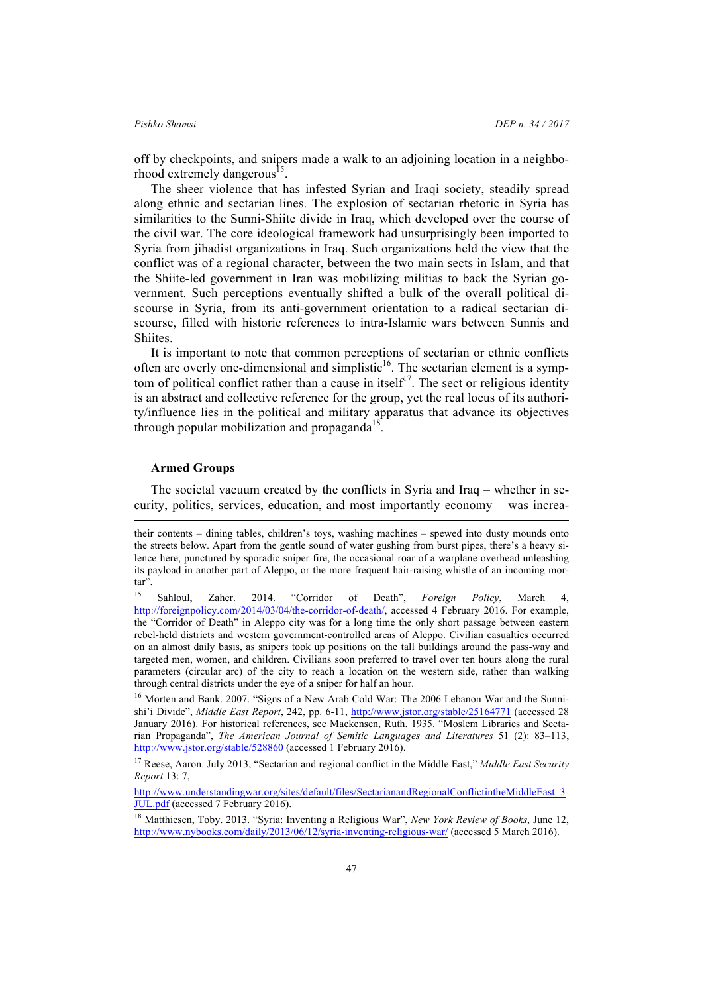off by checkpoints, and snipers made a walk to an adjoining location in a neighborhood extremely dangerous<sup>15</sup>.

The sheer violence that has infested Syrian and Iraqi society, steadily spread along ethnic and sectarian lines. The explosion of sectarian rhetoric in Syria has similarities to the Sunni-Shiite divide in Iraq, which developed over the course of the civil war. The core ideological framework had unsurprisingly been imported to Syria from jihadist organizations in Iraq. Such organizations held the view that the conflict was of a regional character, between the two main sects in Islam, and that the Shiite-led government in Iran was mobilizing militias to back the Syrian government. Such perceptions eventually shifted a bulk of the overall political discourse in Syria, from its anti-government orientation to a radical sectarian discourse, filled with historic references to intra-Islamic wars between Sunnis and Shiites.

It is important to note that common perceptions of sectarian or ethnic conflicts often are overly one-dimensional and simplistic $16$ . The sectarian element is a symptom of political conflict rather than a cause in itself<sup>17</sup>. The sect or religious identity is an abstract and collective reference for the group, yet the real locus of its authority/influence lies in the political and military apparatus that advance its objectives through popular mobilization and propaganda<sup>18</sup>.

### **Armed Groups**

l

The societal vacuum created by the conflicts in Syria and Iraq – whether in security, politics, services, education, and most importantly economy – was increa-

their contents – dining tables, children's toys, washing machines – spewed into dusty mounds onto the streets below. Apart from the gentle sound of water gushing from burst pipes, there's a heavy silence here, punctured by sporadic sniper fire, the occasional roar of a warplane overhead unleashing its payload in another part of Aleppo, or the more frequent hair-raising whistle of an incoming mortar".

<sup>15</sup> Sahloul, Zaher. 2014. "Corridor of Death", *Foreign Policy*, March 4, http://foreignpolicy.com/2014/03/04/the-corridor-of-death/, accessed 4 February 2016. For example, the "Corridor of Death" in Aleppo city was for a long time the only short passage between eastern rebel-held districts and western government-controlled areas of Aleppo. Civilian casualties occurred on an almost daily basis, as snipers took up positions on the tall buildings around the pass-way and targeted men, women, and children. Civilians soon preferred to travel over ten hours along the rural parameters (circular arc) of the city to reach a location on the western side, rather than walking through central districts under the eye of a sniper for half an hour.

<sup>&</sup>lt;sup>16</sup> Morten and Bank. 2007. "Signs of a New Arab Cold War: The 2006 Lebanon War and the Sunnishi'i Divide", *Middle East Report*, 242, pp. 6-11, http://www.jstor.org/stable/25164771 (accessed 28 January 2016). For historical references, see Mackensen, Ruth. 1935. "Moslem Libraries and Sectarian Propaganda", *The American Journal of Semitic Languages and Literatures* 51 (2): 83–113, http://www.jstor.org/stable/528860 (accessed 1 February 2016).

<sup>17</sup> Reese, Aaron. July 2013, "Sectarian and regional conflict in the Middle East," *Middle East Security Report* 13: 7,

http://www.understandingwar.org/sites/default/files/SectarianandRegionalConflictintheMiddleEast\_3 JUL.pdf (accessed 7 February 2016).

<sup>18</sup> Matthiesen, Toby. 2013. "Syria: Inventing a Religious War", *New York Review of Books*, June 12, http://www.nybooks.com/daily/2013/06/12/syria-inventing-religious-war/ (accessed 5 March 2016).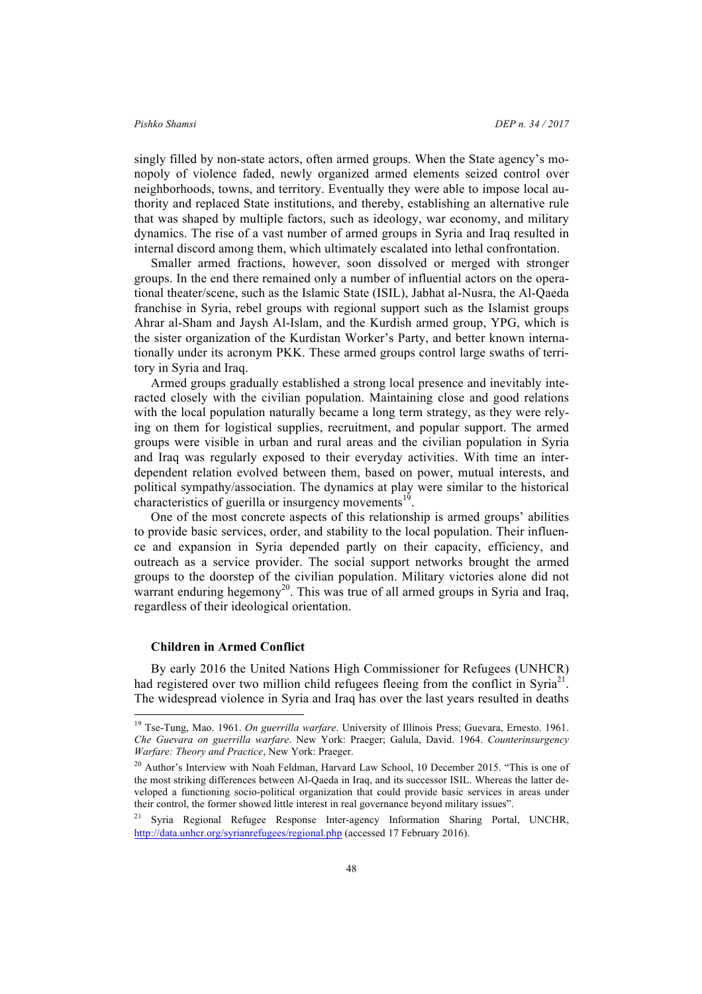singly filled by non-state actors, often armed groups. When the State agency's monopoly of violence faded, newly organized armed elements seized control over neighborhoods, towns, and territory. Eventually they were able to impose local authority and replaced State institutions, and thereby, establishing an alternative rule that was shaped by multiple factors, such as ideology, war economy, and military dynamics. The rise of a vast number of armed groups in Syria and Iraq resulted in internal discord among them, which ultimately escalated into lethal confrontation.

Smaller armed fractions, however, soon dissolved or merged with stronger groups. In the end there remained only a number of influential actors on the operational theater/scene, such as the Islamic State (ISIL), Jabhat al-Nusra, the Al-Qaeda franchise in Syria, rebel groups with regional support such as the Islamist groups Ahrar al-Sham and Jaysh Al-Islam, and the Kurdish armed group, YPG, which is the sister organization of the Kurdistan Worker's Party, and better known internationally under its acronym PKK. These armed groups control large swaths of territory in Syria and Iraq.

Armed groups gradually established a strong local presence and inevitably interacted closely with the civilian population. Maintaining close and good relations with the local population naturally became a long term strategy, as they were relying on them for logistical supplies, recruitment, and popular support. The armed groups were visible in urban and rural areas and the civilian population in Syria and Iraq was regularly exposed to their everyday activities. With time an interdependent relation evolved between them, based on power, mutual interests, and political sympathy/association. The dynamics at play were similar to the historical characteristics of guerilla or insurgency movements<sup>19</sup>

One of the most concrete aspects of this relationship is armed groups' abilities to provide basic services, order, and stability to the local population. Their influence and expansion in Syria depended partly on their capacity, efficiency, and outreach as a service provider. The social support networks brought the armed groups to the doorstep of the civilian population. Military victories alone did not warrant enduring hegemony<sup>20</sup>. This was true of all armed groups in Syria and Iraq, regardless of their ideological orientation.

### **Children in Armed Conflict**

By early 2016 the United Nations High Commissioner for Refugees (UNHCR) had registered over two million child refugees fleeing from the conflict in Syria<sup>21</sup>. The widespread violence in Syria and Iraq has over the last years resulted in deaths

 <sup>19</sup> Tse-Tung, Mao. 1961. *On guerrilla warfare*. University of Illinois Press; Guevara, Ernesto. 1961. *Che Guevara on guerrilla warfare*. New York: Praeger; Galula, David. 1964. *Counterinsurgency Warfare: Theory and Practice*, New York: Praeger.

<sup>&</sup>lt;sup>20</sup> Author's Interview with Noah Feldman, Harvard Law School, 10 December 2015. "This is one of the most striking differences between Al-Qaeda in Iraq, and its successor ISIL. Whereas the latter developed a functioning socio-political organization that could provide basic services in areas under their control, the former showed little interest in real governance beyond military issues".

<sup>21</sup> Syria Regional Refugee Response Inter-agency Information Sharing Portal, UNCHR, http://data.unhcr.org/syrianrefugees/regional.php (accessed 17 February 2016).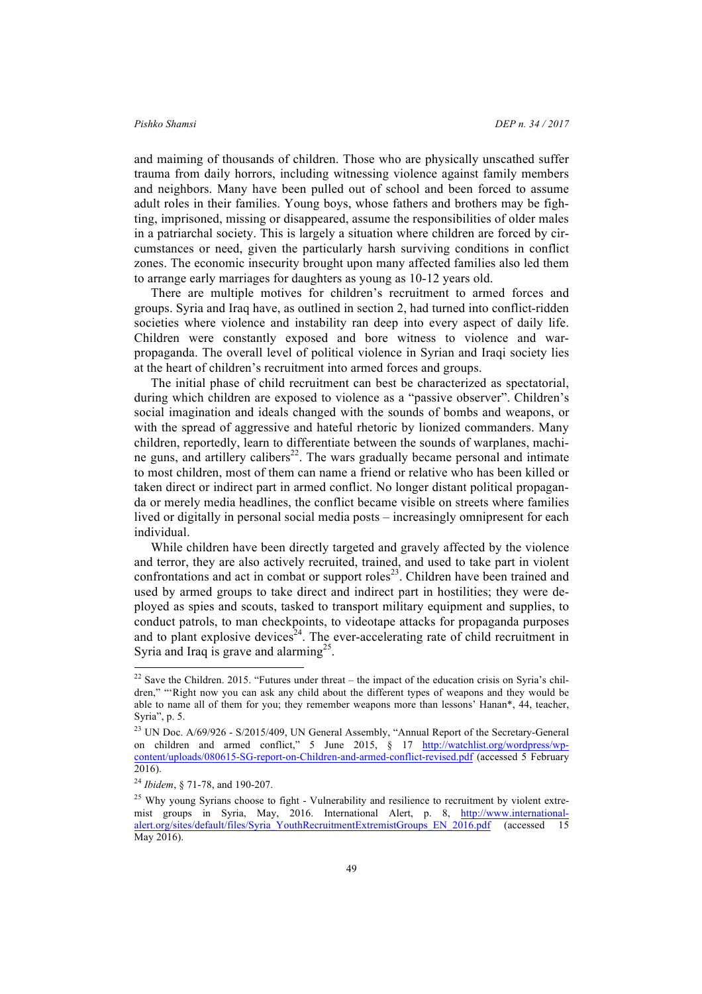and maiming of thousands of children. Those who are physically unscathed suffer trauma from daily horrors, including witnessing violence against family members and neighbors. Many have been pulled out of school and been forced to assume adult roles in their families. Young boys, whose fathers and brothers may be fighting, imprisoned, missing or disappeared, assume the responsibilities of older males in a patriarchal society. This is largely a situation where children are forced by circumstances or need, given the particularly harsh surviving conditions in conflict zones. The economic insecurity brought upon many affected families also led them to arrange early marriages for daughters as young as 10-12 years old.

There are multiple motives for children's recruitment to armed forces and groups. Syria and Iraq have, as outlined in section 2, had turned into conflict-ridden societies where violence and instability ran deep into every aspect of daily life. Children were constantly exposed and bore witness to violence and warpropaganda. The overall level of political violence in Syrian and Iraqi society lies at the heart of children's recruitment into armed forces and groups.

The initial phase of child recruitment can best be characterized as spectatorial, during which children are exposed to violence as a "passive observer". Children's social imagination and ideals changed with the sounds of bombs and weapons, or with the spread of aggressive and hateful rhetoric by lionized commanders. Many children, reportedly, learn to differentiate between the sounds of warplanes, machine guns, and artillery calibers<sup>22</sup>. The wars gradually became personal and intimate to most children, most of them can name a friend or relative who has been killed or taken direct or indirect part in armed conflict. No longer distant political propaganda or merely media headlines, the conflict became visible on streets where families lived or digitally in personal social media posts – increasingly omnipresent for each individual.

While children have been directly targeted and gravely affected by the violence and terror, they are also actively recruited, trained, and used to take part in violent confrontations and act in combat or support roles<sup>23</sup>. Children have been trained and used by armed groups to take direct and indirect part in hostilities; they were deployed as spies and scouts, tasked to transport military equipment and supplies, to conduct patrols, to man checkpoints, to videotape attacks for propaganda purposes and to plant explosive devices<sup>24</sup>. The ever-accelerating rate of child recruitment in Syria and Iraq is grave and alarming<sup>25</sup>.

 $22$  Save the Children. 2015. "Futures under threat – the impact of the education crisis on Syria's children," "'Right now you can ask any child about the different types of weapons and they would be able to name all of them for you; they remember weapons more than lessons' Hanan\*, 44, teacher, Syria", p. 5.

<sup>&</sup>lt;sup>23</sup> UN Doc. A/69/926 - S/2015/409, UN General Assembly, "Annual Report of the Secretary-General on children and armed conflict," 5 June 2015, § 17 http://watchlist.org/wordpress/wpcontent/uploads/080615-SG-report-on-Children-and-armed-conflict-revised.pdf (accessed 5 February 2016).

<sup>24</sup> *Ibidem*, § 71-78, and 190-207.

<sup>&</sup>lt;sup>25</sup> Why young Syrians choose to fight - Vulnerability and resilience to recruitment by violent extremist groups in Syria, May, 2016. International Alert, p. 8, http://www.internationalalert.org/sites/default/files/Syria\_YouthRecruitmentExtremistGroups\_EN\_2016.pdf (accessed 15 May 2016).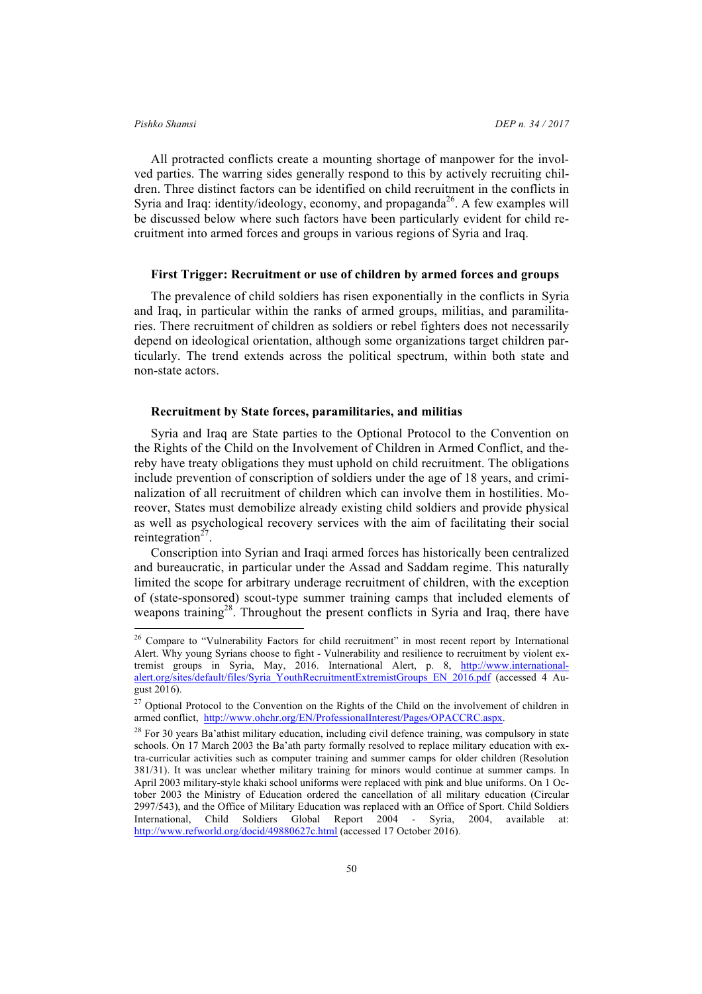All protracted conflicts create a mounting shortage of manpower for the involved parties. The warring sides generally respond to this by actively recruiting children. Three distinct factors can be identified on child recruitment in the conflicts in Syria and Iraq: identity/ideology, economy, and propaganda<sup>26</sup>. A few examples will be discussed below where such factors have been particularly evident for child recruitment into armed forces and groups in various regions of Syria and Iraq.

### **First Trigger: Recruitment or use of children by armed forces and groups**

The prevalence of child soldiers has risen exponentially in the conflicts in Syria and Iraq, in particular within the ranks of armed groups, militias, and paramilitaries. There recruitment of children as soldiers or rebel fighters does not necessarily depend on ideological orientation, although some organizations target children particularly. The trend extends across the political spectrum, within both state and non-state actors.

### **Recruitment by State forces, paramilitaries, and militias**

Syria and Iraq are State parties to the Optional Protocol to the Convention on the Rights of the Child on the Involvement of Children in Armed Conflict, and thereby have treaty obligations they must uphold on child recruitment. The obligations include prevention of conscription of soldiers under the age of 18 years, and criminalization of all recruitment of children which can involve them in hostilities. Moreover, States must demobilize already existing child soldiers and provide physical as well as psychological recovery services with the aim of facilitating their social reintegration $27$ .

Conscription into Syrian and Iraqi armed forces has historically been centralized and bureaucratic, in particular under the Assad and Saddam regime. This naturally limited the scope for arbitrary underage recruitment of children, with the exception of (state-sponsored) scout-type summer training camps that included elements of weapons training<sup>28</sup>. Throughout the present conflicts in Syria and Iraq, there have

<sup>&</sup>lt;sup>26</sup> Compare to "Vulnerability Factors for child recruitment" in most recent report by International Alert. Why young Syrians choose to fight - Vulnerability and resilience to recruitment by violent extremist groups in Syria, May, 2016. International Alert, p. 8, http://www.internationalalert.org/sites/default/files/Syria\_YouthRecruitmentExtremistGroups\_EN\_2016.pdf (accessed 4 August 2016).

<sup>&</sup>lt;sup>27</sup> Optional Protocol to the Convention on the Rights of the Child on the involvement of children in armed conflict, http://www.ohchr.org/EN/ProfessionalInterest/Pages/OPACCRC.aspx.

<sup>&</sup>lt;sup>28</sup> For 30 years Ba'athist military education, including civil defence training, was compulsory in state schools. On 17 March 2003 the Ba'ath party formally resolved to replace military education with extra-curricular activities such as computer training and summer camps for older children (Resolution 381/31). It was unclear whether military training for minors would continue at summer camps. In April 2003 military-style khaki school uniforms were replaced with pink and blue uniforms. On 1 October 2003 the Ministry of Education ordered the cancellation of all military education (Circular 2997/543), and the Office of Military Education was replaced with an Office of Sport. Child Soldiers International, Child Soldiers Global Report 2004 - Syria, 2004, available at: http://www.refworld.org/docid/49880627c.html (accessed 17 October 2016).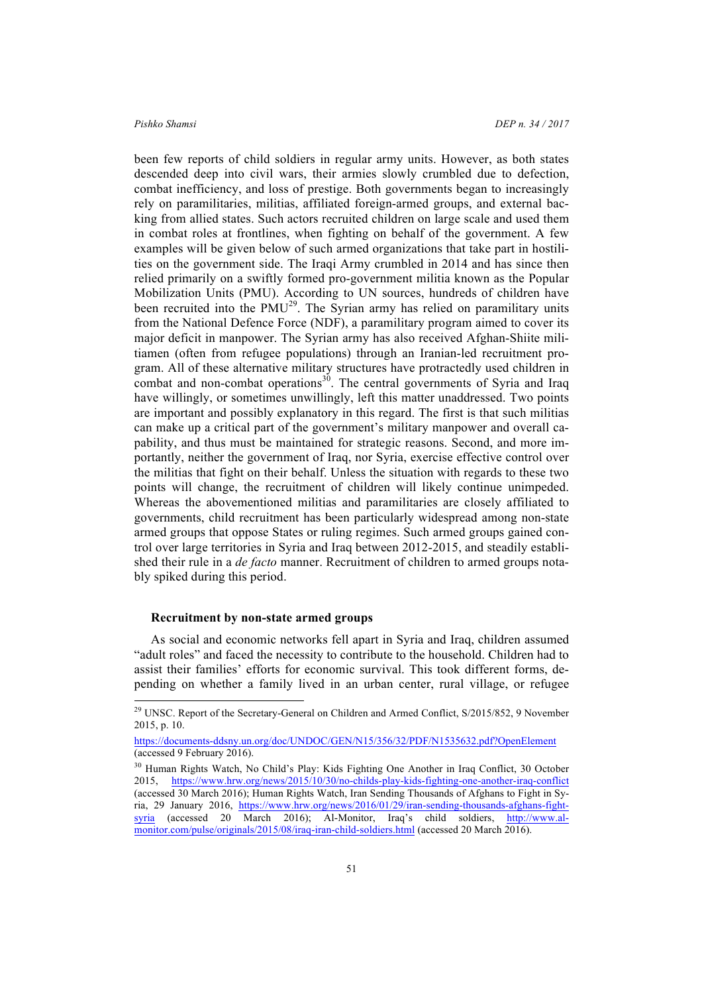been few reports of child soldiers in regular army units. However, as both states descended deep into civil wars, their armies slowly crumbled due to defection, combat inefficiency, and loss of prestige. Both governments began to increasingly rely on paramilitaries, militias, affiliated foreign-armed groups, and external backing from allied states. Such actors recruited children on large scale and used them in combat roles at frontlines, when fighting on behalf of the government. A few examples will be given below of such armed organizations that take part in hostilities on the government side. The Iraqi Army crumbled in 2014 and has since then relied primarily on a swiftly formed pro-government militia known as the Popular Mobilization Units (PMU). According to UN sources, hundreds of children have been recruited into the  $PMU^{29}$ . The Syrian army has relied on paramilitary units from the National Defence Force (NDF), a paramilitary program aimed to cover its major deficit in manpower. The Syrian army has also received Afghan-Shiite militiamen (often from refugee populations) through an Iranian-led recruitment program. All of these alternative military structures have protractedly used children in combat and non-combat operations $3<sup>0</sup>$ . The central governments of Syria and Iraq have willingly, or sometimes unwillingly, left this matter unaddressed. Two points are important and possibly explanatory in this regard. The first is that such militias can make up a critical part of the government's military manpower and overall capability, and thus must be maintained for strategic reasons. Second, and more importantly, neither the government of Iraq, nor Syria, exercise effective control over the militias that fight on their behalf. Unless the situation with regards to these two points will change, the recruitment of children will likely continue unimpeded. Whereas the abovementioned militias and paramilitaries are closely affiliated to governments, child recruitment has been particularly widespread among non-state armed groups that oppose States or ruling regimes. Such armed groups gained control over large territories in Syria and Iraq between 2012-2015, and steadily established their rule in a *de facto* manner. Recruitment of children to armed groups notably spiked during this period.

### **Recruitment by non-state armed groups**

As social and economic networks fell apart in Syria and Iraq, children assumed "adult roles" and faced the necessity to contribute to the household. Children had to assist their families' efforts for economic survival. This took different forms, depending on whether a family lived in an urban center, rural village, or refugee

<sup>&</sup>lt;sup>29</sup> UNSC. Report of the Secretary-General on Children and Armed Conflict, S/2015/852, 9 November 2015, p. 10.

https://documents-ddsny.un.org/doc/UNDOC/GEN/N15/356/32/PDF/N1535632.pdf?OpenElement (accessed 9 February 2016).

<sup>&</sup>lt;sup>30</sup> Human Rights Watch, No Child's Play: Kids Fighting One Another in Iraq Conflict, 30 October 2015, https://www.hrw.org/news/2015/10/30/no-childs-play-kids-fighting-one-another-iraq-conflict (accessed 30 March 2016); Human Rights Watch, Iran Sending Thousands of Afghans to Fight in Syria, 29 January 2016, https://www.hrw.org/news/2016/01/29/iran-sending-thousands-afghans-fightsyria (accessed 20 March 2016); Al-Monitor, Iraq's child soldiers, http://www.almonitor.com/pulse/originals/2015/08/iraq-iran-child-soldiers.html (accessed 20 March 2016).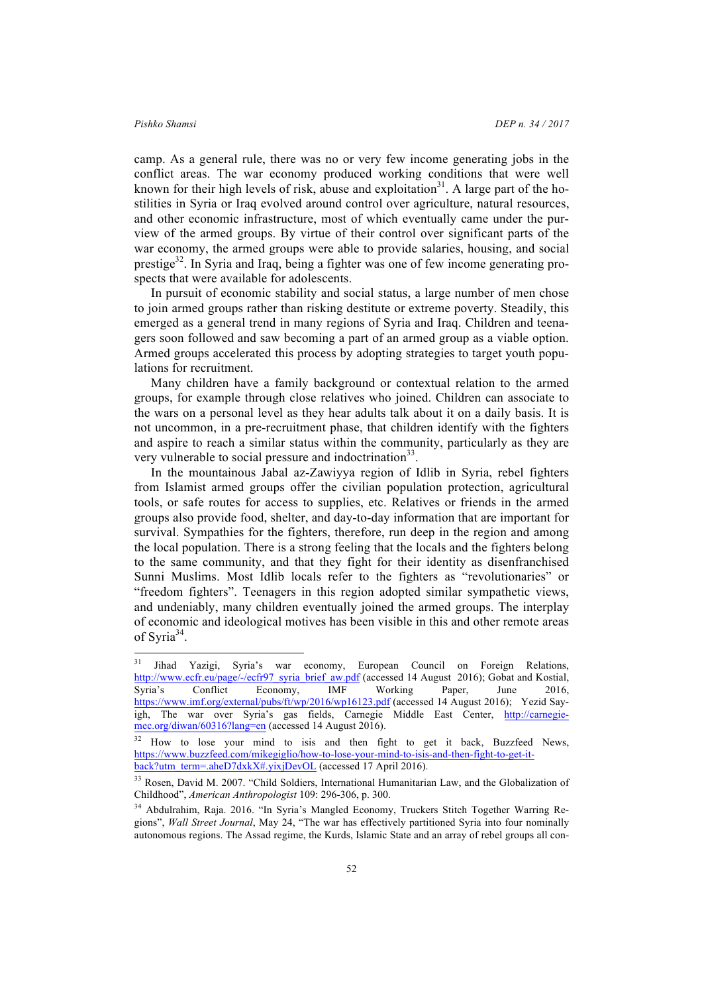camp. As a general rule, there was no or very few income generating jobs in the conflict areas. The war economy produced working conditions that were well known for their high levels of risk, abuse and exploitation<sup>31</sup>. A large part of the hostilities in Syria or Iraq evolved around control over agriculture, natural resources, and other economic infrastructure, most of which eventually came under the purview of the armed groups. By virtue of their control over significant parts of the war economy, the armed groups were able to provide salaries, housing, and social prestige<sup>32</sup>. In Syria and Iraq, being a fighter was one of few income generating prospects that were available for adolescents.

In pursuit of economic stability and social status, a large number of men chose to join armed groups rather than risking destitute or extreme poverty. Steadily, this emerged as a general trend in many regions of Syria and Iraq. Children and teenagers soon followed and saw becoming a part of an armed group as a viable option. Armed groups accelerated this process by adopting strategies to target youth populations for recruitment.

Many children have a family background or contextual relation to the armed groups, for example through close relatives who joined. Children can associate to the wars on a personal level as they hear adults talk about it on a daily basis. It is not uncommon, in a pre-recruitment phase, that children identify with the fighters and aspire to reach a similar status within the community, particularly as they are very vulnerable to social pressure and indoctrination<sup>33</sup>.

In the mountainous Jabal az-Zawiyya region of Idlib in Syria, rebel fighters from Islamist armed groups offer the civilian population protection, agricultural tools, or safe routes for access to supplies, etc. Relatives or friends in the armed groups also provide food, shelter, and day-to-day information that are important for survival. Sympathies for the fighters, therefore, run deep in the region and among the local population. There is a strong feeling that the locals and the fighters belong to the same community, and that they fight for their identity as disenfranchised Sunni Muslims. Most Idlib locals refer to the fighters as "revolutionaries" or "freedom fighters". Teenagers in this region adopted similar sympathetic views, and undeniably, many children eventually joined the armed groups. The interplay of economic and ideological motives has been visible in this and other remote areas of Syria<sup>34</sup>.

<sup>&</sup>lt;sup>31</sup> Jihad Yazigi, Syria's war economy, European Council on Foreign Relations, http://www.ecfr.eu/page/-/ecfr97\_syria\_brief\_aw.pdf (accessed 14 August 2016); Gobat and Kostial, Syria's Conflict Economy, IMF Working Paper, June 2016, https://www.imf.org/external/pubs/ft/wp/2016/wp16123.pdf (accessed 14 August 2016); Yezid Sayigh, The war over Syria's gas fields, Carnegie Middle East Center, http://carnegiemec.org/diwan/60316?lang=en (accessed 14 August 2016).

<sup>&</sup>lt;sup>32</sup> How to lose your mind to isis and then fight to get it back, Buzzfeed News, https://www.buzzfeed.com/mikegiglio/how-to-lose-your-mind-to-isis-and-then-fight-to-get-itback?utm\_term=<u>.aheD7dxkX#.yixjDevOL</u> (accessed 17 April 2016).

<sup>&</sup>lt;sup>33</sup> Rosen, David M. 2007. "Child Soldiers, International Humanitarian Law, and the Globalization of Childhood", *American Anthropologist* 109: 296-306, p. 300.

<sup>34</sup> Abdulrahim, Raja. 2016. "In Syria's Mangled Economy, Truckers Stitch Together Warring Regions", *Wall Street Journal*, May 24, "The war has effectively partitioned Syria into four nominally autonomous regions. The Assad regime, the Kurds, Islamic State and an array of rebel groups all con-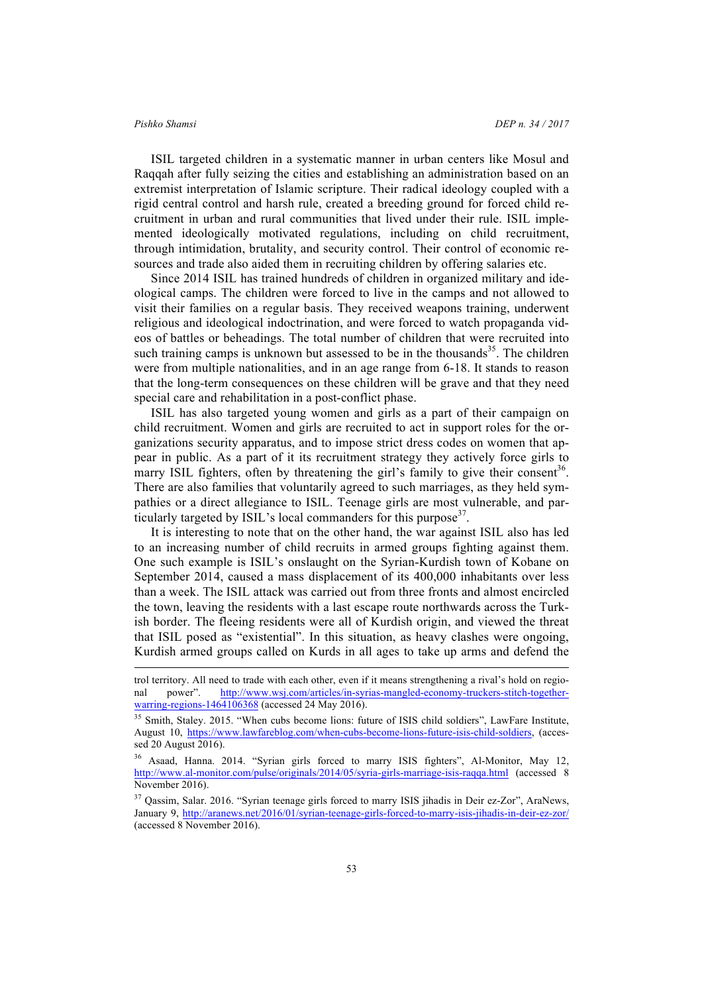l

ISIL targeted children in a systematic manner in urban centers like Mosul and Raqqah after fully seizing the cities and establishing an administration based on an extremist interpretation of Islamic scripture. Their radical ideology coupled with a rigid central control and harsh rule, created a breeding ground for forced child recruitment in urban and rural communities that lived under their rule. ISIL implemented ideologically motivated regulations, including on child recruitment, through intimidation, brutality, and security control. Their control of economic resources and trade also aided them in recruiting children by offering salaries etc.

Since 2014 ISIL has trained hundreds of children in organized military and ideological camps. The children were forced to live in the camps and not allowed to visit their families on a regular basis. They received weapons training, underwent religious and ideological indoctrination, and were forced to watch propaganda videos of battles or beheadings. The total number of children that were recruited into such training camps is unknown but assessed to be in the thousands<sup>35</sup>. The children were from multiple nationalities, and in an age range from 6-18. It stands to reason that the long-term consequences on these children will be grave and that they need special care and rehabilitation in a post-conflict phase.

ISIL has also targeted young women and girls as a part of their campaign on child recruitment. Women and girls are recruited to act in support roles for the organizations security apparatus, and to impose strict dress codes on women that appear in public. As a part of it its recruitment strategy they actively force girls to marry ISIL fighters, often by threatening the girl's family to give their consent<sup>36</sup>. There are also families that voluntarily agreed to such marriages, as they held sympathies or a direct allegiance to ISIL. Teenage girls are most vulnerable, and particularly targeted by ISIL's local commanders for this purpose<sup>37</sup>.

It is interesting to note that on the other hand, the war against ISIL also has led to an increasing number of child recruits in armed groups fighting against them. One such example is ISIL's onslaught on the Syrian-Kurdish town of Kobane on September 2014, caused a mass displacement of its 400,000 inhabitants over less than a week. The ISIL attack was carried out from three fronts and almost encircled the town, leaving the residents with a last escape route northwards across the Turkish border. The fleeing residents were all of Kurdish origin, and viewed the threat that ISIL posed as "existential". In this situation, as heavy clashes were ongoing, Kurdish armed groups called on Kurds in all ages to take up arms and defend the

trol territory. All need to trade with each other, even if it means strengthening a rival's hold on regional power". http://www.wsj.com/articles/in-syrias-mangled-economy-truckers-stitch-togetherwarring-regions-1464106368 (accessed 24 May 2016).

<sup>&</sup>lt;sup>35</sup> Smith, Staley. 2015. "When cubs become lions: future of ISIS child soldiers", LawFare Institute, August 10, https://www.lawfareblog.com/when-cubs-become-lions-future-isis-child-soldiers, (accessed 20 August 2016).

<sup>36</sup> Asaad, Hanna. 2014. "Syrian girls forced to marry ISIS fighters", Al-Monitor, May 12, http://www.al-monitor.com/pulse/originals/2014/05/syria-girls-marriage-isis-raqqa.html (accessed 8) November 2016).

<sup>&</sup>lt;sup>37</sup> Qassim, Salar. 2016. "Syrian teenage girls forced to marry ISIS jihadis in Deir ez-Zor", AraNews, January 9, http://aranews.net/2016/01/syrian-teenage-girls-forced-to-marry-isis-jihadis-in-deir-ez-zor/ (accessed 8 November 2016).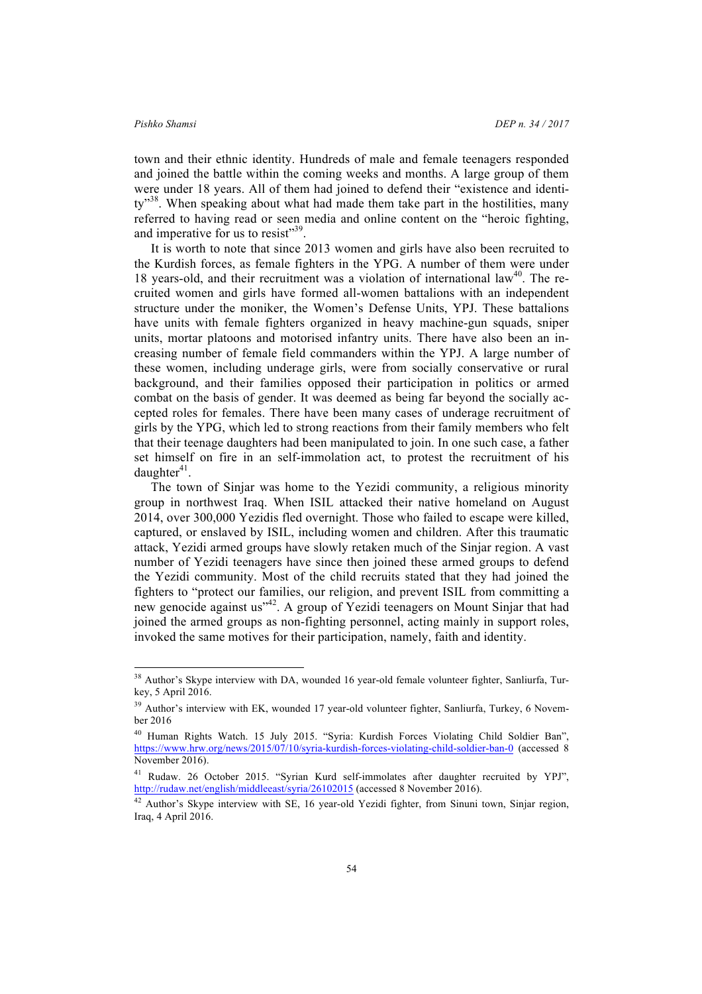town and their ethnic identity. Hundreds of male and female teenagers responded and joined the battle within the coming weeks and months. A large group of them were under 18 years. All of them had joined to defend their "existence and identity<sup>38</sup>. When speaking about what had made them take part in the hostilities, many referred to having read or seen media and online content on the "heroic fighting, and imperative for us to resist"<sup>39</sup>.

It is worth to note that since 2013 women and girls have also been recruited to the Kurdish forces, as female fighters in the YPG. A number of them were under 18 years-old, and their recruitment was a violation of international law $40$ . The recruited women and girls have formed all-women battalions with an independent structure under the moniker, the Women's Defense Units, YPJ. These battalions have units with female fighters organized in heavy machine-gun squads, sniper units, mortar platoons and motorised infantry units. There have also been an increasing number of female field commanders within the YPJ. A large number of these women, including underage girls, were from socially conservative or rural background, and their families opposed their participation in politics or armed combat on the basis of gender. It was deemed as being far beyond the socially accepted roles for females. There have been many cases of underage recruitment of girls by the YPG, which led to strong reactions from their family members who felt that their teenage daughters had been manipulated to join. In one such case, a father set himself on fire in an self-immolation act, to protest the recruitment of his  $d$ aughter $41$ .

The town of Sinjar was home to the Yezidi community, a religious minority group in northwest Iraq. When ISIL attacked their native homeland on August 2014, over 300,000 Yezidis fled overnight. Those who failed to escape were killed, captured, or enslaved by ISIL, including women and children. After this traumatic attack, Yezidi armed groups have slowly retaken much of the Sinjar region. A vast number of Yezidi teenagers have since then joined these armed groups to defend the Yezidi community. Most of the child recruits stated that they had joined the fighters to "protect our families, our religion, and prevent ISIL from committing a new genocide against us"<sup>42</sup>. A group of Yezidi teenagers on Mount Sinjar that had joined the armed groups as non-fighting personnel, acting mainly in support roles, invoked the same motives for their participation, namely, faith and identity.

<sup>&</sup>lt;sup>38</sup> Author's Skype interview with DA, wounded 16 year-old female volunteer fighter, Sanliurfa, Turkey, 5 April 2016.

<sup>&</sup>lt;sup>39</sup> Author's interview with EK, wounded 17 year-old volunteer fighter, Sanliurfa, Turkey, 6 November 2016

<sup>40</sup> Human Rights Watch. 15 July 2015. "Syria: Kurdish Forces Violating Child Soldier Ban", https://www.hrw.org/news/2015/07/10/syria-kurdish-forces-violating-child-soldier-ban-0 (accessed 8 November 2016).

<sup>41</sup> Rudaw. 26 October 2015. "Syrian Kurd self-immolates after daughter recruited by YPJ", http://rudaw.net/english/middleeast/syria/26102015 (accessed 8 November 2016).

<sup>&</sup>lt;sup>42</sup> Author's Skype interview with SE, 16 year-old Yezidi fighter, from Sinuni town, Sinjar region, Iraq, 4 April 2016.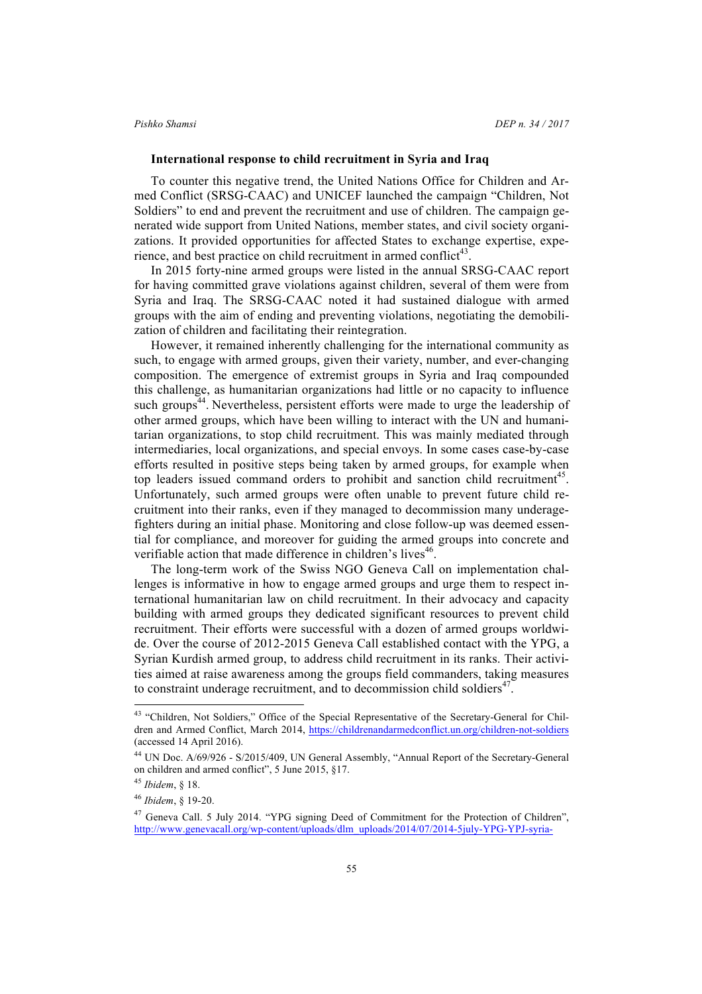### **International response to child recruitment in Syria and Iraq**

To counter this negative trend, the United Nations Office for Children and Armed Conflict (SRSG-CAAC) and UNICEF launched the campaign "Children, Not Soldiers" to end and prevent the recruitment and use of children. The campaign generated wide support from United Nations, member states, and civil society organizations. It provided opportunities for affected States to exchange expertise, experience, and best practice on child recruitment in armed conflict<sup>43</sup>.

In 2015 forty-nine armed groups were listed in the annual SRSG-CAAC report for having committed grave violations against children, several of them were from Syria and Iraq. The SRSG-CAAC noted it had sustained dialogue with armed groups with the aim of ending and preventing violations, negotiating the demobilization of children and facilitating their reintegration.

However, it remained inherently challenging for the international community as such, to engage with armed groups, given their variety, number, and ever-changing composition. The emergence of extremist groups in Syria and Iraq compounded this challenge, as humanitarian organizations had little or no capacity to influence such groups<sup>44</sup>. Nevertheless, persistent efforts were made to urge the leadership of other armed groups, which have been willing to interact with the UN and humanitarian organizations, to stop child recruitment. This was mainly mediated through intermediaries, local organizations, and special envoys. In some cases case-by-case efforts resulted in positive steps being taken by armed groups, for example when top leaders issued command orders to prohibit and sanction child recruitment<sup>45</sup>. Unfortunately, such armed groups were often unable to prevent future child recruitment into their ranks, even if they managed to decommission many underagefighters during an initial phase. Monitoring and close follow-up was deemed essential for compliance, and moreover for guiding the armed groups into concrete and verifiable action that made difference in children's lives<sup>46</sup>.

The long-term work of the Swiss NGO Geneva Call on implementation challenges is informative in how to engage armed groups and urge them to respect international humanitarian law on child recruitment. In their advocacy and capacity building with armed groups they dedicated significant resources to prevent child recruitment. Their efforts were successful with a dozen of armed groups worldwide. Over the course of 2012-2015 Geneva Call established contact with the YPG, a Syrian Kurdish armed group, to address child recruitment in its ranks. Their activities aimed at raise awareness among the groups field commanders, taking measures to constraint underage recruitment, and to decommission child soldiers $47$ .

<sup>&</sup>lt;sup>43</sup> "Children, Not Soldiers," Office of the Special Representative of the Secretary-General for Children and Armed Conflict, March 2014, https://childrenandarmedconflict.un.org/children-not-soldiers (accessed 14 April 2016).

<sup>44</sup> UN Doc. A/69/926 - S/2015/409, UN General Assembly, "Annual Report of the Secretary-General on children and armed conflict", 5 June 2015, §17.

<sup>45</sup> *Ibidem*, § 18.

<sup>46</sup> *Ibidem*, § 19-20.

<sup>47</sup> Geneva Call. 5 July 2014. "YPG signing Deed of Commitment for the Protection of Children", http://www.genevacall.org/wp-content/uploads/dlm\_uploads/2014/07/2014-5july-YPG-YPJ-syria-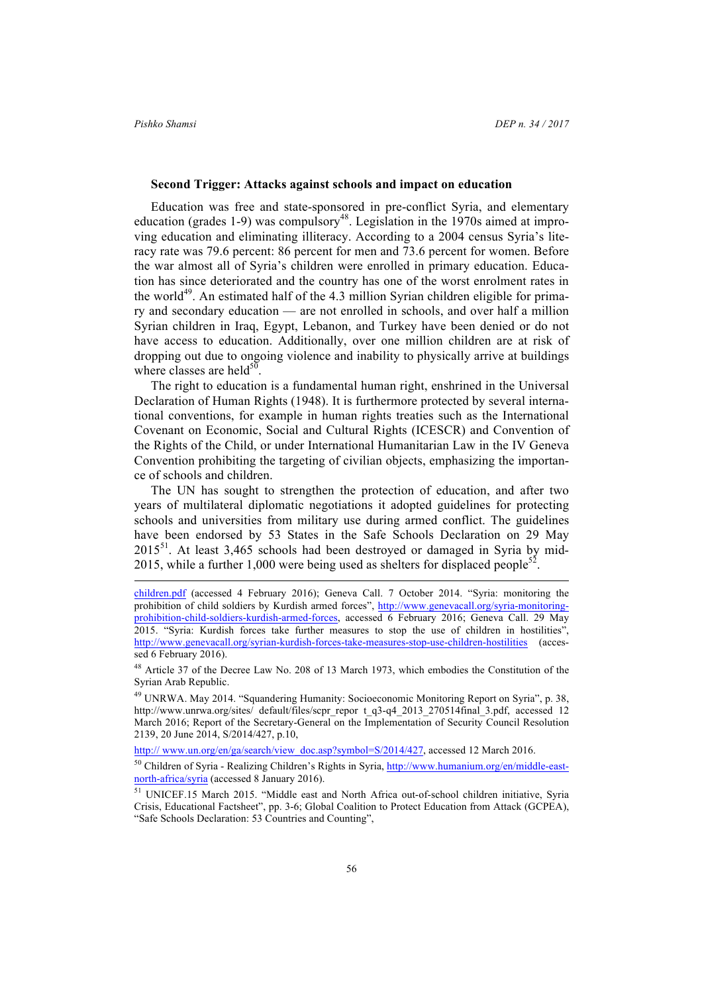$\overline{a}$ 

### **Second Trigger: Attacks against schools and impact on education**

Education was free and state-sponsored in pre-conflict Syria, and elementary education (grades 1-9) was compulsory<sup>48</sup>. Legislation in the 1970s aimed at improving education and eliminating illiteracy. According to a 2004 census Syria's literacy rate was 79.6 percent: 86 percent for men and 73.6 percent for women. Before the war almost all of Syria's children were enrolled in primary education. Education has since deteriorated and the country has one of the worst enrolment rates in the world<sup>49</sup>. An estimated half of the 4.3 million Syrian children eligible for primary and secondary education — are not enrolled in schools, and over half a million Syrian children in Iraq, Egypt, Lebanon, and Turkey have been denied or do not have access to education. Additionally, over one million children are at risk of dropping out due to ongoing violence and inability to physically arrive at buildings where classes are held $50$ .

The right to education is a fundamental human right, enshrined in the Universal Declaration of Human Rights (1948). It is furthermore protected by several international conventions, for example in human rights treaties such as the International Covenant on Economic, Social and Cultural Rights (ICESCR) and Convention of the Rights of the Child, or under International Humanitarian Law in the IV Geneva Convention prohibiting the targeting of civilian objects, emphasizing the importance of schools and children.

The UN has sought to strengthen the protection of education, and after two years of multilateral diplomatic negotiations it adopted guidelines for protecting schools and universities from military use during armed conflict. The guidelines have been endorsed by 53 States in the Safe Schools Declaration on 29 May  $2015<sup>51</sup>$ . At least 3,465 schools had been destroyed or damaged in Syria by mid-2015, while a further 1,000 were being used as shelters for displaced people<sup>52</sup>

http:// www.un.org/en/ga/search/view\_doc.asp?symbol=S/2014/427, accessed 12 March 2016.

children.pdf (accessed 4 February 2016); Geneva Call. 7 October 2014. "Syria: monitoring the prohibition of child soldiers by Kurdish armed forces", http://www.genevacall.org/syria-monitoringprohibition-child-soldiers-kurdish-armed-forces, accessed 6 February 2016; Geneva Call. 29 May 2015. "Syria: Kurdish forces take further measures to stop the use of children in hostilities", http://www.genevacall.org/syrian-kurdish-forces-take-measures-stop-use-children-hostilities (accessed 6 February 2016).

<sup>48</sup> Article 37 of the Decree Law No. 208 of 13 March 1973, which embodies the Constitution of the Syrian Arab Republic.

<sup>49</sup> UNRWA. May 2014. "Squandering Humanity: Socioeconomic Monitoring Report on Syria", p. 38, http://www.unrwa.org/sites/ default/files/scpr\_repor t\_q3-q4\_2013\_270514final\_3.pdf, accessed 12 March 2016; Report of the Secretary-General on the Implementation of Security Council Resolution 2139, 20 June 2014, S/2014/427, p.10,

<sup>50</sup> Children of Syria - Realizing Children's Rights in Syria, http://www.humanium.org/en/middle-eastnorth-africa/syria (accessed 8 January 2016).

<sup>51</sup> UNICEF.15 March 2015. "Middle east and North Africa out-of-school children initiative, Syria Crisis, Educational Factsheet", pp. 3-6; Global Coalition to Protect Education from Attack (GCPEA), "Safe Schools Declaration: 53 Countries and Counting",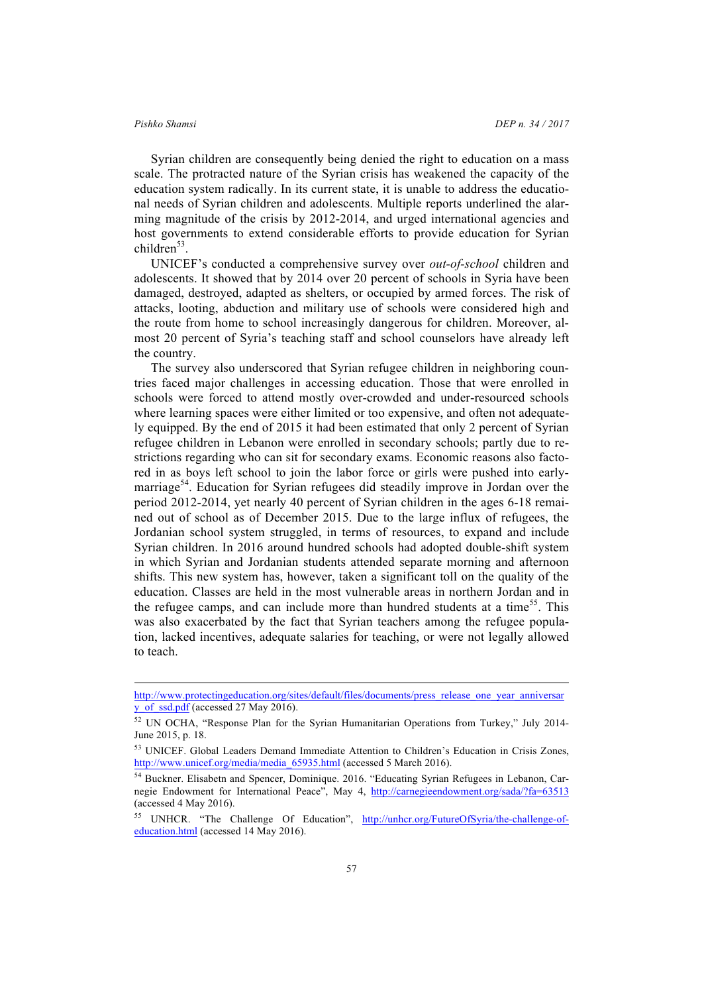$\overline{a}$ 

Syrian children are consequently being denied the right to education on a mass scale. The protracted nature of the Syrian crisis has weakened the capacity of the education system radically. In its current state, it is unable to address the educational needs of Syrian children and adolescents. Multiple reports underlined the alarming magnitude of the crisis by 2012-2014, and urged international agencies and host governments to extend considerable efforts to provide education for Syrian children $53$ .

UNICEF's conducted a comprehensive survey over *out-of-school* children and adolescents. It showed that by 2014 over 20 percent of schools in Syria have been damaged, destroyed, adapted as shelters, or occupied by armed forces. The risk of attacks, looting, abduction and military use of schools were considered high and the route from home to school increasingly dangerous for children. Moreover, almost 20 percent of Syria's teaching staff and school counselors have already left the country.

The survey also underscored that Syrian refugee children in neighboring countries faced major challenges in accessing education. Those that were enrolled in schools were forced to attend mostly over-crowded and under-resourced schools where learning spaces were either limited or too expensive, and often not adequately equipped. By the end of 2015 it had been estimated that only 2 percent of Syrian refugee children in Lebanon were enrolled in secondary schools; partly due to restrictions regarding who can sit for secondary exams. Economic reasons also factored in as boys left school to join the labor force or girls were pushed into earlymarriage<sup>54</sup>. Education for Syrian refugees did steadily improve in Jordan over the period 2012-2014, yet nearly 40 percent of Syrian children in the ages 6-18 remained out of school as of December 2015. Due to the large influx of refugees, the Jordanian school system struggled, in terms of resources, to expand and include Syrian children. In 2016 around hundred schools had adopted double-shift system in which Syrian and Jordanian students attended separate morning and afternoon shifts. This new system has, however, taken a significant toll on the quality of the education. Classes are held in the most vulnerable areas in northern Jordan and in the refugee camps, and can include more than hundred students at a time<sup>55</sup>. This was also exacerbated by the fact that Syrian teachers among the refugee population, lacked incentives, adequate salaries for teaching, or were not legally allowed to teach.

http://www.protectingeducation.org/sites/default/files/documents/press\_release\_one\_year\_anniversar y\_of\_ssd.pdf (accessed 27 May 2016).

<sup>52</sup> UN OCHA, "Response Plan for the Syrian Humanitarian Operations from Turkey," July 2014- June 2015, p. 18.

<sup>53</sup> UNICEF. Global Leaders Demand Immediate Attention to Children's Education in Crisis Zones, http://www.unicef.org/media/media\_65935.html (accessed 5 March 2016).

<sup>54</sup> Buckner. Elisabetn and Spencer, Dominique. 2016. "Educating Syrian Refugees in Lebanon, Carnegie Endowment for International Peace", May 4, http://carnegieendowment.org/sada/?fa=63513 (accessed 4 May 2016).

<sup>55</sup> UNHCR. "The Challenge Of Education", http://unhcr.org/FutureOfSyria/the-challenge-ofeducation.html (accessed 14 May 2016).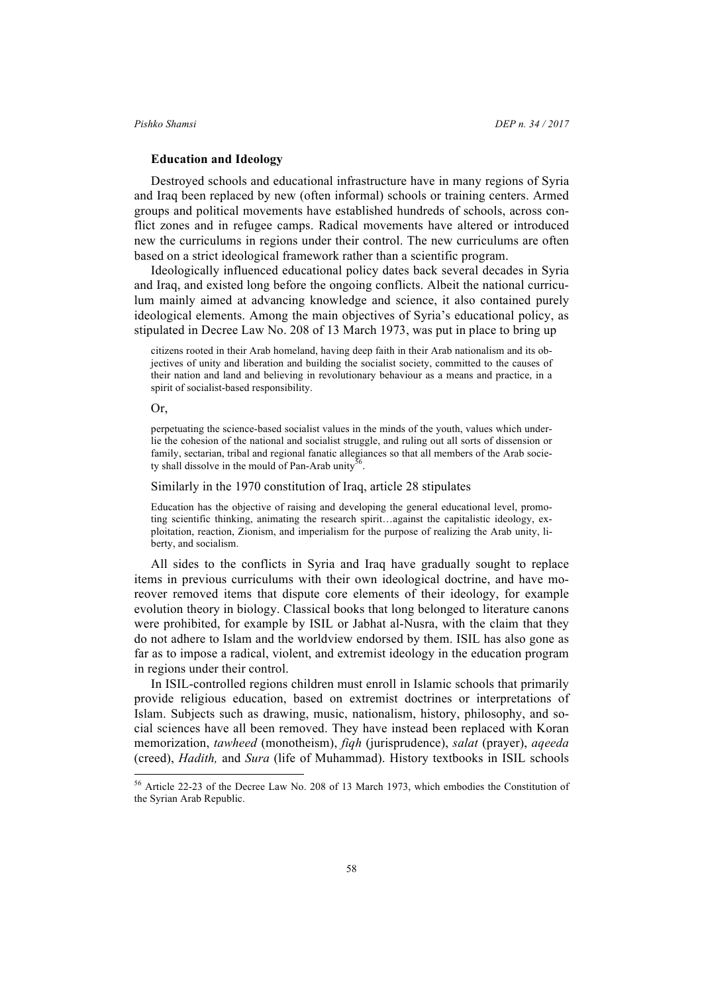### **Education and Ideology**

Destroyed schools and educational infrastructure have in many regions of Syria and Iraq been replaced by new (often informal) schools or training centers. Armed groups and political movements have established hundreds of schools, across conflict zones and in refugee camps. Radical movements have altered or introduced new the curriculums in regions under their control. The new curriculums are often based on a strict ideological framework rather than a scientific program.

Ideologically influenced educational policy dates back several decades in Syria and Iraq, and existed long before the ongoing conflicts. Albeit the national curriculum mainly aimed at advancing knowledge and science, it also contained purely ideological elements. Among the main objectives of Syria's educational policy, as stipulated in Decree Law No. 208 of 13 March 1973, was put in place to bring up

citizens rooted in their Arab homeland, having deep faith in their Arab nationalism and its objectives of unity and liberation and building the socialist society, committed to the causes of their nation and land and believing in revolutionary behaviour as a means and practice, in a spirit of socialist-based responsibility.

Or,

perpetuating the science-based socialist values in the minds of the youth, values which underlie the cohesion of the national and socialist struggle, and ruling out all sorts of dissension or family, sectarian, tribal and regional fanatic allegiances so that all members of the Arab society shall dissolve in the mould of Pan-Arab unity<sup>56</sup>.

### Similarly in the 1970 constitution of Iraq, article 28 stipulates

Education has the objective of raising and developing the general educational level, promoting scientific thinking, animating the research spirit…against the capitalistic ideology, exploitation, reaction, Zionism, and imperialism for the purpose of realizing the Arab unity, liberty, and socialism.

All sides to the conflicts in Syria and Iraq have gradually sought to replace items in previous curriculums with their own ideological doctrine, and have moreover removed items that dispute core elements of their ideology, for example evolution theory in biology. Classical books that long belonged to literature canons were prohibited, for example by ISIL or Jabhat al-Nusra, with the claim that they do not adhere to Islam and the worldview endorsed by them. ISIL has also gone as far as to impose a radical, violent, and extremist ideology in the education program in regions under their control.

In ISIL-controlled regions children must enroll in Islamic schools that primarily provide religious education, based on extremist doctrines or interpretations of Islam. Subjects such as drawing, music, nationalism, history, philosophy, and social sciences have all been removed. They have instead been replaced with Koran memorization, *tawheed* (monotheism), *fiqh* (jurisprudence), *salat* (prayer), *aqeeda*  (creed), *Hadith,* and *Sura* (life of Muhammad). History textbooks in ISIL schools

 <sup>56</sup> Article 22-23 of the Decree Law No. 208 of 13 March 1973, which embodies the Constitution of the Syrian Arab Republic.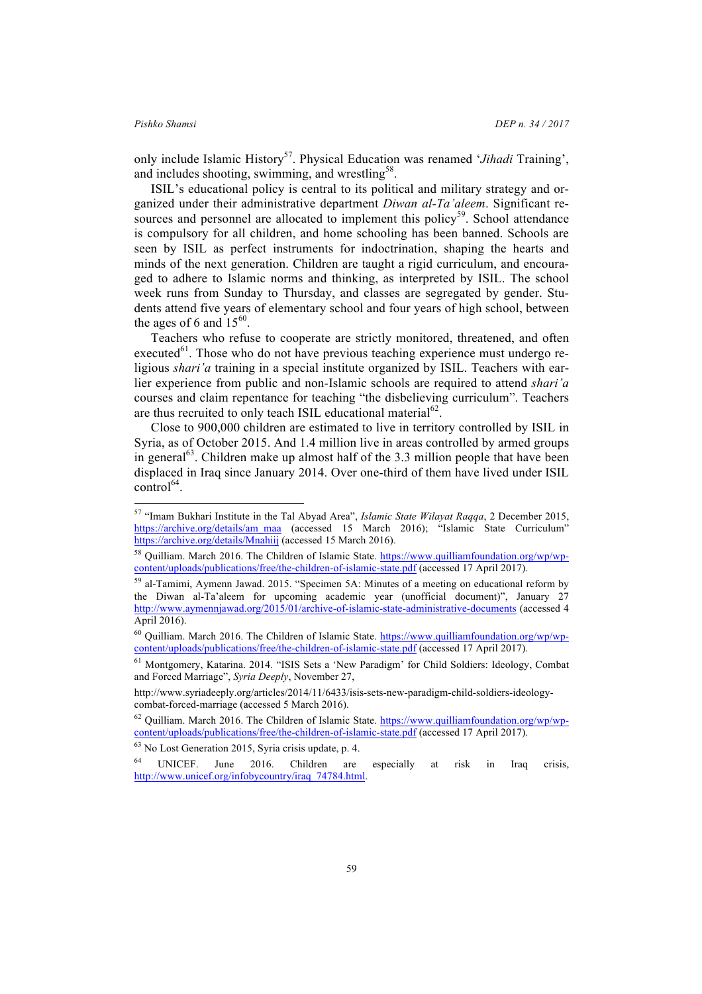only include Islamic History57. Physical Education was renamed '*Jihadi* Training', and includes shooting, swimming, and wrestling<sup>58</sup>.

ISIL's educational policy is central to its political and military strategy and organized under their administrative department *Diwan al-Ta'aleem*. Significant resources and personnel are allocated to implement this policy<sup>59</sup>. School attendance is compulsory for all children, and home schooling has been banned. Schools are seen by ISIL as perfect instruments for indoctrination, shaping the hearts and minds of the next generation. Children are taught a rigid curriculum, and encouraged to adhere to Islamic norms and thinking, as interpreted by ISIL. The school week runs from Sunday to Thursday, and classes are segregated by gender. Students attend five years of elementary school and four years of high school, between the ages of 6 and  $15^{60}$ .

Teachers who refuse to cooperate are strictly monitored, threatened, and often executed<sup>61</sup>. Those who do not have previous teaching experience must undergo religious *shari'a* training in a special institute organized by ISIL. Teachers with earlier experience from public and non-Islamic schools are required to attend *shari'a*  courses and claim repentance for teaching "the disbelieving curriculum". Teachers are thus recruited to only teach ISIL educational material<sup>62</sup>.

Close to 900,000 children are estimated to live in territory controlled by ISIL in Syria, as of October 2015. And 1.4 million live in areas controlled by armed groups in general $^{63}$ . Children make up almost half of the 3.3 million people that have been displaced in Iraq since January 2014. Over one-third of them have lived under ISIL  $control<sup>64</sup>$ .

 <sup>57</sup> "Imam Bukhari Institute in the Tal Abyad Area", *Islamic State Wilayat Raqqa*, 2 December 2015, https://archive.org/details/am\_maa (accessed 15 March 2016); "Islamic State Curriculum" https://archive.org/details/Mnahiij (accessed 15 March 2016).

<sup>58</sup> Quilliam. March 2016. The Children of Islamic State. https://www.quilliamfoundation.org/wp/wpcontent/uploads/publications/free/the-children-of-islamic-state.pdf (accessed 17 April 2017).

<sup>59</sup> al-Tamimi, Aymenn Jawad. 2015. "Specimen 5A: Minutes of a meeting on educational reform by the Diwan al-Ta'aleem for upcoming academic year (unofficial document)", January 27 http://www.aymennjawad.org/2015/01/archive-of-islamic-state-administrative-documents (accessed 4 April 2016).

<sup>60</sup> Quilliam. March 2016. The Children of Islamic State. https://www.quilliamfoundation.org/wp/wpcontent/uploads/publications/free/the-children-of-islamic-state.pdf (accessed 17 April 2017).

<sup>61</sup> Montgomery, Katarina. 2014. "ISIS Sets a 'New Paradigm' for Child Soldiers: Ideology, Combat and Forced Marriage", *Syria Deeply*, November 27,

http://www.syriadeeply.org/articles/2014/11/6433/isis-sets-new-paradigm-child-soldiers-ideologycombat-forced-marriage (accessed 5 March 2016).

<sup>62</sup> Quilliam. March 2016. The Children of Islamic State. https://www.quilliamfoundation.org/wp/wpcontent/uploads/publications/free/the-children-of-islamic-state.pdf (accessed 17 April 2017).

<sup>63</sup> No Lost Generation 2015, Syria crisis update, p. 4.

<sup>&</sup>lt;sup>64</sup> UNICEF. June 2016. Children are especially at risk in Iraq crisis, http://www.unicef.org/infobycountry/iraq\_74784.html.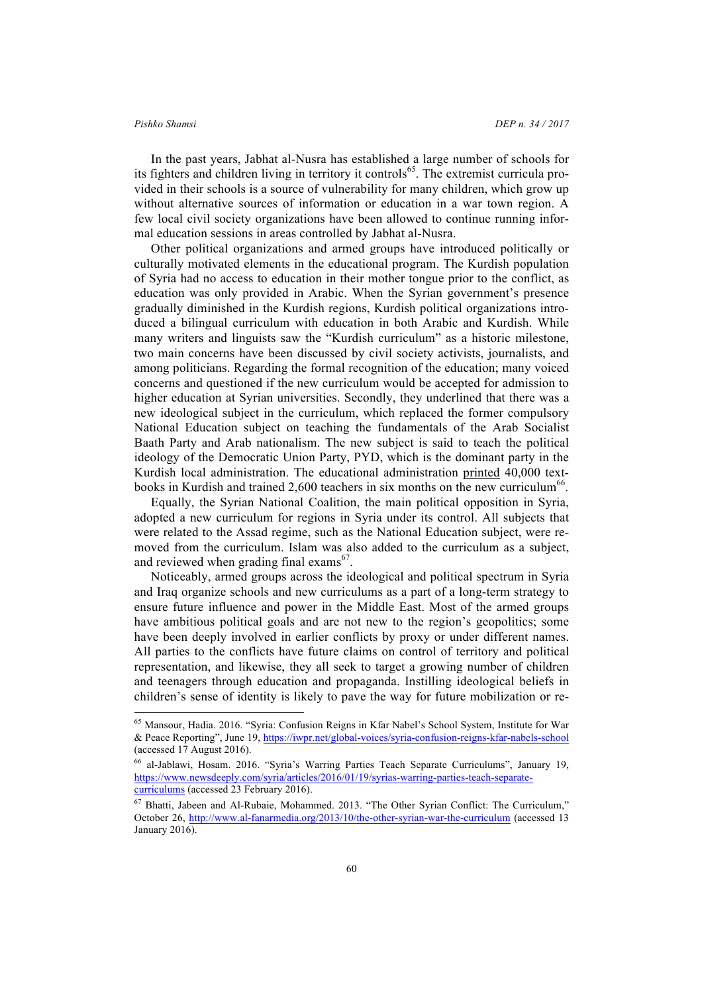In the past years, Jabhat al-Nusra has established a large number of schools for its fighters and children living in territory it controls<sup>65</sup>. The extremist curricula provided in their schools is a source of vulnerability for many children, which grow up without alternative sources of information or education in a war town region. A few local civil society organizations have been allowed to continue running informal education sessions in areas controlled by Jabhat al-Nusra.

Other political organizations and armed groups have introduced politically or culturally motivated elements in the educational program. The Kurdish population of Syria had no access to education in their mother tongue prior to the conflict, as education was only provided in Arabic. When the Syrian government's presence gradually diminished in the Kurdish regions, Kurdish political organizations introduced a bilingual curriculum with education in both Arabic and Kurdish. While many writers and linguists saw the "Kurdish curriculum" as a historic milestone, two main concerns have been discussed by civil society activists, journalists, and among politicians. Regarding the formal recognition of the education; many voiced concerns and questioned if the new curriculum would be accepted for admission to higher education at Syrian universities. Secondly, they underlined that there was a new ideological subject in the curriculum, which replaced the former compulsory National Education subject on teaching the fundamentals of the Arab Socialist Baath Party and Arab nationalism. The new subject is said to teach the political ideology of the Democratic Union Party, PYD, which is the dominant party in the Kurdish local administration. The educational administration printed  $40.000$  textbooks in Kurdish and trained 2.600 teachers in six months on the new curriculum<sup>66</sup>.

Equally, the Syrian National Coalition, the main political opposition in Syria, adopted a new curriculum for regions in Syria under its control. All subjects that were related to the Assad regime, such as the National Education subject, were removed from the curriculum. Islam was also added to the curriculum as a subject, and reviewed when grading final exams<sup>67</sup>.

Noticeably, armed groups across the ideological and political spectrum in Syria and Iraq organize schools and new curriculums as a part of a long-term strategy to ensure future influence and power in the Middle East. Most of the armed groups have ambitious political goals and are not new to the region's geopolitics; some have been deeply involved in earlier conflicts by proxy or under different names. All parties to the conflicts have future claims on control of territory and political representation, and likewise, they all seek to target a growing number of children and teenagers through education and propaganda. Instilling ideological beliefs in children's sense of identity is likely to pave the way for future mobilization or re-

 <sup>65</sup> Mansour, Hadia. 2016. "Syria: Confusion Reigns in Kfar Nabel's School System, Institute for War & Peace Reporting", June 19, https://iwpr.net/global-voices/syria-confusion-reigns-kfar-nabels-school (accessed 17 August 2016).

<sup>66</sup> al-Jablawi, Hosam. 2016. "Syria's Warring Parties Teach Separate Curriculums", January 19, https://www.newsdeeply.com/syria/articles/2016/01/19/syrias-warring-parties-teach-separatecurriculums (accessed 23 February 2016).

<sup>67</sup> Bhatti, Jabeen and Al-Rubaie, Mohammed. 2013. "The Other Syrian Conflict: The Curriculum," October 26, http://www.al-fanarmedia.org/2013/10/the-other-syrian-war-the-curriculum (accessed 13 January 2016).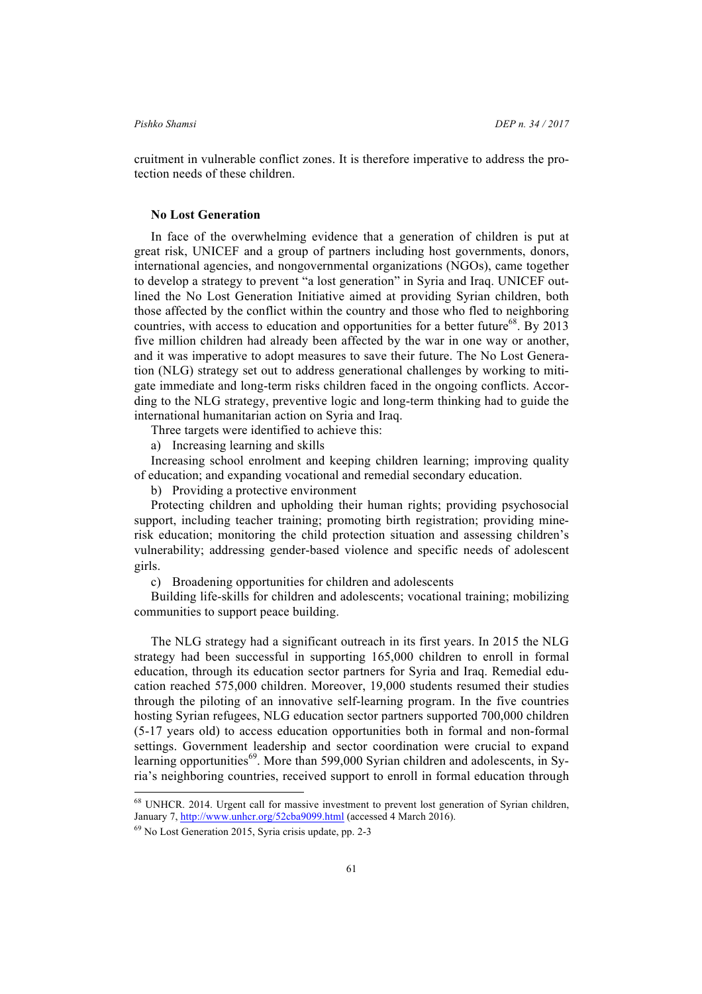cruitment in vulnerable conflict zones. It is therefore imperative to address the protection needs of these children.

### **No Lost Generation**

In face of the overwhelming evidence that a generation of children is put at great risk, UNICEF and a group of partners including host governments, donors, international agencies, and nongovernmental organizations (NGOs), came together to develop a strategy to prevent "a lost generation" in Syria and Iraq. UNICEF outlined the No Lost Generation Initiative aimed at providing Syrian children, both those affected by the conflict within the country and those who fled to neighboring countries, with access to education and opportunities for a better future<sup>68</sup>. By 2013 five million children had already been affected by the war in one way or another, and it was imperative to adopt measures to save their future. The No Lost Generation (NLG) strategy set out to address generational challenges by working to mitigate immediate and long-term risks children faced in the ongoing conflicts. According to the NLG strategy, preventive logic and long-term thinking had to guide the international humanitarian action on Syria and Iraq.

Three targets were identified to achieve this:

a) Increasing learning and skills

Increasing school enrolment and keeping children learning; improving quality of education; and expanding vocational and remedial secondary education.

b) Providing a protective environment

Protecting children and upholding their human rights; providing psychosocial support, including teacher training; promoting birth registration; providing minerisk education; monitoring the child protection situation and assessing children's vulnerability; addressing gender-based violence and specific needs of adolescent girls.

c) Broadening opportunities for children and adolescents

Building life-skills for children and adolescents; vocational training; mobilizing communities to support peace building.

The NLG strategy had a significant outreach in its first years. In 2015 the NLG strategy had been successful in supporting 165,000 children to enroll in formal education, through its education sector partners for Syria and Iraq. Remedial education reached 575,000 children. Moreover, 19,000 students resumed their studies through the piloting of an innovative self-learning program. In the five countries hosting Syrian refugees, NLG education sector partners supported 700,000 children (5-17 years old) to access education opportunities both in formal and non-formal settings. Government leadership and sector coordination were crucial to expand learning opportunities<sup>69</sup>. More than 599,000 Syrian children and adolescents, in Syria's neighboring countries, received support to enroll in formal education through

 <sup>68</sup> UNHCR. 2014. Urgent call for massive investment to prevent lost generation of Syrian children, January 7, http://www.unhcr.org/52cba9099.html (accessed 4 March 2016).

<sup>69</sup> No Lost Generation 2015, Syria crisis update, pp. 2-3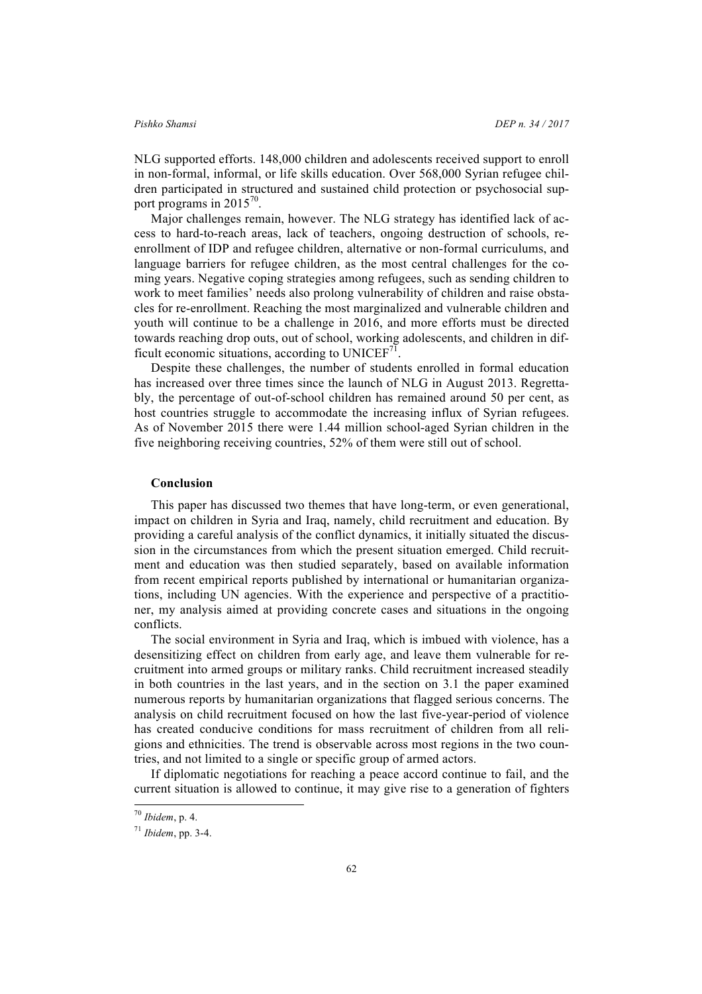NLG supported efforts. 148,000 children and adolescents received support to enroll in non-formal, informal, or life skills education. Over 568,000 Syrian refugee children participated in structured and sustained child protection or psychosocial support programs in 2015<sup>70</sup>.

Major challenges remain, however. The NLG strategy has identified lack of access to hard-to-reach areas, lack of teachers, ongoing destruction of schools, reenrollment of IDP and refugee children, alternative or non-formal curriculums, and language barriers for refugee children, as the most central challenges for the coming years. Negative coping strategies among refugees, such as sending children to work to meet families' needs also prolong vulnerability of children and raise obstacles for re-enrollment. Reaching the most marginalized and vulnerable children and youth will continue to be a challenge in 2016, and more efforts must be directed towards reaching drop outs, out of school, working adolescents, and children in difficult economic situations, according to  $UNICEF<sup>71</sup>$ .

Despite these challenges, the number of students enrolled in formal education has increased over three times since the launch of NLG in August 2013. Regrettably, the percentage of out-of-school children has remained around 50 per cent, as host countries struggle to accommodate the increasing influx of Syrian refugees. As of November 2015 there were 1.44 million school-aged Syrian children in the five neighboring receiving countries, 52% of them were still out of school.

### **Conclusion**

This paper has discussed two themes that have long-term, or even generational, impact on children in Syria and Iraq, namely, child recruitment and education. By providing a careful analysis of the conflict dynamics, it initially situated the discussion in the circumstances from which the present situation emerged. Child recruitment and education was then studied separately, based on available information from recent empirical reports published by international or humanitarian organizations, including UN agencies. With the experience and perspective of a practitioner, my analysis aimed at providing concrete cases and situations in the ongoing conflicts.

The social environment in Syria and Iraq, which is imbued with violence, has a desensitizing effect on children from early age, and leave them vulnerable for recruitment into armed groups or military ranks. Child recruitment increased steadily in both countries in the last years, and in the section on 3.1 the paper examined numerous reports by humanitarian organizations that flagged serious concerns. The analysis on child recruitment focused on how the last five-year-period of violence has created conducive conditions for mass recruitment of children from all religions and ethnicities. The trend is observable across most regions in the two countries, and not limited to a single or specific group of armed actors.

If diplomatic negotiations for reaching a peace accord continue to fail, and the current situation is allowed to continue, it may give rise to a generation of fighters

 <sup>70</sup> *Ibidem*, p. 4.

<sup>71</sup> *Ibidem*, pp. 3-4.